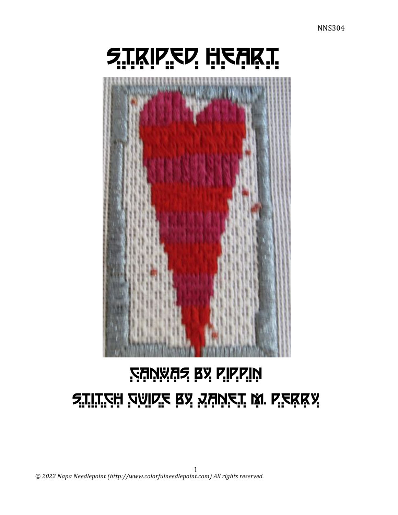# **RANWAS BY PIPPIN** <u> Stilt'zh 'zaid'z Ra Yuv'z't W. L'ekka</u>

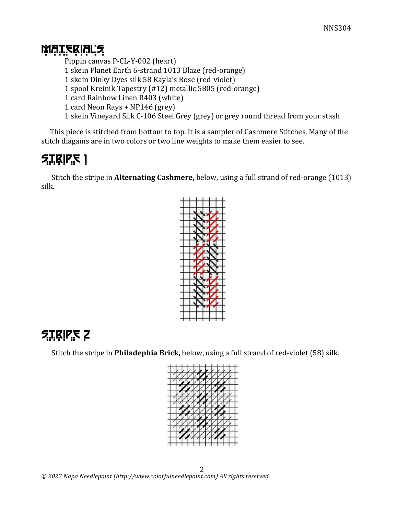#### **MATERIALS**

Pippin canvas P-CL-Y-002 (heart) 1 skein Planet Earth 6-strand 1013 Blaze (red-orange) 1 skein Dinky Dyes silk 58 Kayla's Rose (red-violet) 1 spool Kreinik Tapestry (#12) metallic 5805 (red-orange) 1 card Rainbow Linen R403 (white) 1 card Neon Rays + NP146 (grey) 1 skein Vineyard Silk C-106 Steel Grey (grey) or grey round thread from your stash

This piece is stitched from bottom to top. It is a sampler of Cashmere Stitches. Many of the stitch diagams are in two colors or two line weights to make them easier to see.

# $5.7$ <u>K</u>IP<sub>:</sub>S 1

Stitch the stripe in **Alternating Cashmere**, below, using a full strand of red-orange (1013) silk.



# **STRIPS 2**

Stitch the stripe in **Philadephia Brick**, below, using a full strand of red-violet (58) silk.

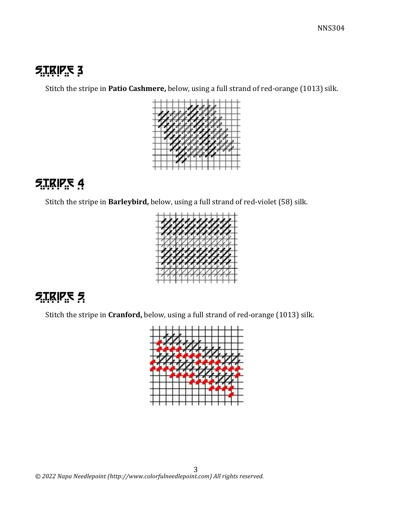#### $5.75$   $RIP<sub>2</sub>5$

Stitch the stripe in Patio Cashmere, below, using a full strand of red-orange (1013) silk.



## $5.1$ KIPS 4

Stitch the stripe in Barleybird, below, using a full strand of red-violet (58) silk.



## $5.75975$

Stitch the stripe in *Cranford*, below, using a full strand of red-orange (1013) silk.

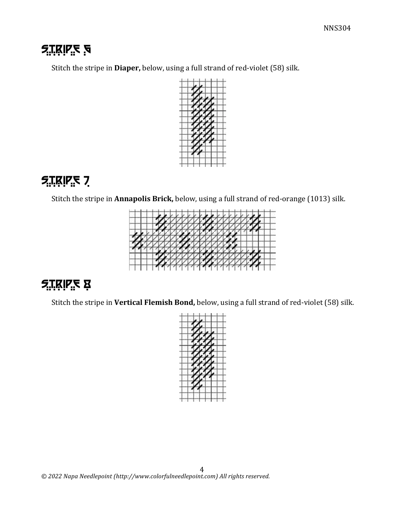## **F.I.KIP.E** 5

Stitch the stripe in **Diaper**, below, using a full strand of red-violet (58) silk.



# $5.7$ **KIPS** 7

Stitch the stripe in Annapolis Brick, below, using a full strand of red-orange (1013) silk.



# **STRIPE &**

Stitch the stripe in Vertical Flemish Bond, below, using a full strand of red-violet (58) silk.

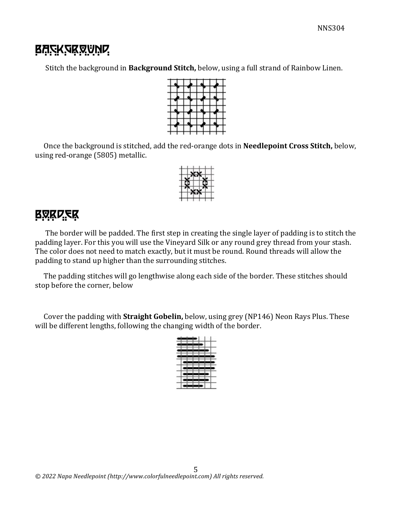### **BASKSRRVND.**

Stitch the background in **Background Stitch**, below, using a full strand of Rainbow Linen.



Once the background is stitched, add the red-orange dots in **Needlepoint Cross Stitch**, below, using red-orange (5805) metallic.



#### **BRKDER**

The border will be padded. The first step in creating the single layer of padding is to stitch the padding layer. For this you will use the Vineyard Silk or any round grey thread from your stash. The color does not need to match exactly, but it must be round. Round threads will allow the padding to stand up higher than the surrounding stitches.

The padding stitches will go lengthwise along each side of the border. These stitches should stop before the corner, below

Cover the padding with **Straight Gobelin**, below, using grey (NP146) Neon Rays Plus. These will be different lengths, following the changing width of the border.